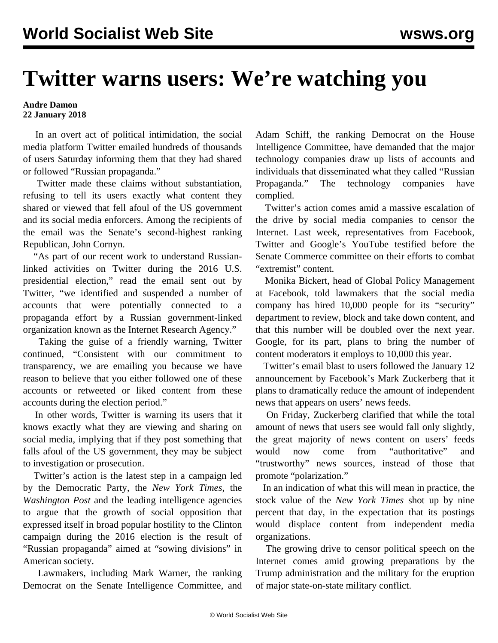## **Twitter warns users: We're watching you**

## **Andre Damon 22 January 2018**

 In an overt act of political intimidation, the social media platform Twitter emailed hundreds of thousands of users Saturday informing them that they had shared or followed "Russian propaganda."

 Twitter made these claims without substantiation, refusing to tell its users exactly what content they shared or viewed that fell afoul of the US government and its social media enforcers. Among the recipients of the email was the Senate's second-highest ranking Republican, John Cornyn.

 "As part of our recent work to understand Russianlinked activities on Twitter during the 2016 U.S. presidential election," read the email sent out by Twitter, "we identified and suspended a number of accounts that were potentially connected to a propaganda effort by a Russian government-linked organization known as the Internet Research Agency."

 Taking the guise of a friendly warning, Twitter continued, "Consistent with our commitment to transparency, we are emailing you because we have reason to believe that you either followed one of these accounts or retweeted or liked content from these accounts during the election period."

 In other words, Twitter is warning its users that it knows exactly what they are viewing and sharing on social media, implying that if they post something that falls afoul of the US government, they may be subject to investigation or prosecution.

 Twitter's action is the latest step in a campaign led by the Democratic Party, the *New York Times*, the *Washington Post* and the leading intelligence agencies to argue that the growth of social opposition that expressed itself in broad popular hostility to the Clinton campaign during the 2016 election is the result of "Russian propaganda" aimed at "sowing divisions" in American society.

 Lawmakers, including Mark Warner, the ranking Democrat on the Senate Intelligence Committee, and Adam Schiff, the ranking Democrat on the House Intelligence Committee, have demanded that the major technology companies draw up lists of accounts and individuals that disseminated what they called "Russian Propaganda." The technology companies have complied.

 Twitter's action comes amid a massive escalation of the drive by social media companies to censor the Internet. Last week, representatives from Facebook, Twitter and Google's YouTube testified before the Senate Commerce committee on their efforts to combat "extremist" content.

 Monika Bickert, head of Global Policy Management at Facebook, told lawmakers that the social media company has hired 10,000 people for its "security" department to review, block and take down content, and that this number will be doubled over the next year. Google, for its part, plans to bring the number of content moderators it employs to 10,000 this year.

 Twitter's email blast to users followed the January 12 announcement by Facebook's Mark Zuckerberg that it plans to dramatically reduce the amount of independent news that appears on users' news feeds.

 On Friday, Zuckerberg clarified that while the total amount of news that users see would fall only slightly, the great majority of news content on users' feeds would now come from "authoritative" and "trustworthy" news sources, instead of those that promote "polarization."

 In an indication of what this will mean in practice, the stock value of the *New York Times* shot up by nine percent that day, in the expectation that its postings would displace content from independent media organizations.

 The growing drive to censor political speech on the Internet comes amid growing preparations by the Trump administration and the military for the eruption of major state-on-state military conflict.